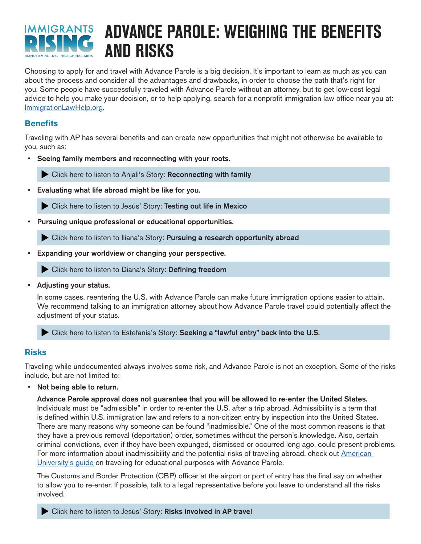

# **ADVANCE PAROLE: WEIGHING THE BENEFITS AND RISKS**

Choosing to apply for and travel with Advance Parole is a big decision. It's important to learn as much as you can about the process and consider all the advantages and drawbacks, in order to choose the path that's right for you. Some people have successfully traveled with Advance Parole without an attorney, but to get low-cost legal advice to help you make your decision, or to help applying, search for a nonprofit immigration law office near you at: [ImmigrationLawHelp.org.](http://www.ImmigrationLawHelp.org)

## **Benefits**

Traveling with AP has several benefits and can create new opportunities that might not otherwise be available to you, such as:

Seeing family members and reconnecting with your roots.

[Click here to listen to Anjali's Story:](https://immigrantsrising.org/resource/advance-parole-weighing-the-benefits-and-risks/#benefits-anjali) Reconnecting with family

• Evaluating what life abroad might be like for you.

[Click here to listen to Jesús' Story:](https://immigrantsrising.org/resource/advance-parole-weighing-the-benefits-and-risks/#benefits-jesus) Testing out life in Mexico

Pursuing unique professional or educational opportunities.

Click here to listen to Iliana's Story: [Pursuing a research opportunity abroad](https://immigrantsrising.org/resource/advance-parole-weighing-the-benefits-and-risks/#benefits-iliana)

Expanding your worldview or changing your perspective.

[Click here to listen to Diana's Story:](https://immigrantsrising.org/resource/advance-parole-weighing-the-benefits-and-risks/#benefits-diana) Defining freedom

• Adjusting your status.

In some cases, reentering the U.S. with Advance Parole can make future immigration options easier to attain. We recommend talking to an immigration attorney about how Advance Parole travel could potentially affect the adjustment of your status.

Click here to listen to Estefanía's Story: [Seeking a "lawful entry" back into the U.S.](https://immigrantsrising.org/resource/advance-parole-weighing-the-benefits-and-risks/#benefits-estefania)

## **Risks**

Traveling while undocumented always involves some risk, and Advance Parole is not an exception. Some of the risks include, but are not limited to:

Not being able to return.

Advance Parole approval does not guarantee that you will be allowed to re-enter the United States. Individuals must be "admissible" in order to re-enter the U.S. after a trip abroad. Admissibility is a term that is defined within U.S. immigration law and refers to a non-citizen entry by inspection into the United States. There are many reasons why someone can be found "inadmissible." One of the most common reasons is that they have a previous removal (deportation) order, sometimes without the person's knowledge. Also, certain criminal convictions, even if they have been expunged, dismissed or occurred long ago, could present problems. For more information about inadmissibility and the potential risks of traveling abroad, check out American [University's guide](https://www.wcl.american.edu/academics/experientialedu/clinical/theclinics/ijc/audream/resources/daca-advance-parole/) on traveling for educational purposes with Advance Parole.

The Customs and Border Protection (CBP) officer at the airport or port of entry has the final say on whether to allow you to re-enter. If possible, talk to a legal representative before you leave to understand all the risks involved.